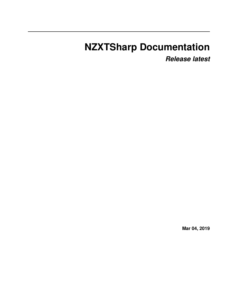# **NZXTSharp Documentation**

*Release latest*

**Mar 04, 2019**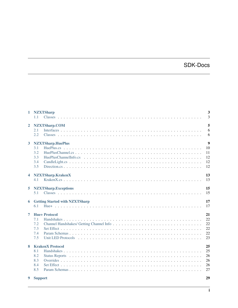# SDK-Docs

|                | 1 NZXTSharp<br>1.1                                          | $\mathbf{3}$<br>3                              |
|----------------|-------------------------------------------------------------|------------------------------------------------|
| $\overline{2}$ | NZXTSharp.COM<br>2.1<br>2.2                                 | 5<br>6<br>6                                    |
| 3              | <b>NZXTSharp.HuePlus</b><br>3.1<br>3.2<br>3.3<br>3.4<br>3.5 | $\boldsymbol{9}$<br>10<br>11<br>12<br>12<br>12 |
| 4              | NZXTSharp.KrakenX<br>4.1                                    | 13<br>13                                       |
| 5              | <b>NZXTSharp.Exceptions</b><br>5.1                          | 15<br>15                                       |
| 6              | <b>Getting Started with NZXTSharp</b><br>6.1                | 17<br>17                                       |
| 7              | <b>Hue+Protocol</b><br>7.1<br>7.2<br>7.3<br>7.4<br>7.5      | 21<br>22<br>22<br>22<br>22<br>23               |
| 8              | <b>KrakenX Protocol</b><br>8.1<br>8.2<br>8.3<br>8.4<br>8.5  | 25<br>25<br>26<br>26<br>26<br>27               |
| 9              | <b>Support</b>                                              | 29                                             |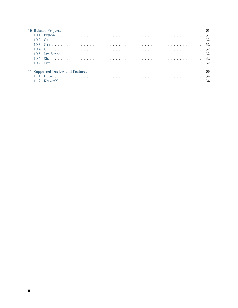| <b>10 Related Projects</b>               | 31 |
|------------------------------------------|----|
|                                          |    |
|                                          |    |
|                                          |    |
|                                          |    |
|                                          |    |
|                                          |    |
|                                          |    |
| <b>11 Supported Devices and Features</b> | 33 |
|                                          |    |
|                                          |    |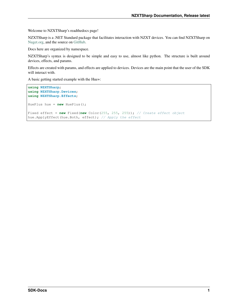Welcome to NZXTSharp's readthedocs page!

NZXTSharp is a .NET Standard package that facilitates interaction with NZXT devices. You can find NZXTSharp on [Nuget.org,](https://www.nuget.org/packages/NZXTSharp) and the source on [GitHub.](https://github.com/akmadian/NZXTSharp)

Docs here are organized by namespace.

NZXTSharp's syntax is designed to be simple and easy to use, almost like python. The structure is built around devices, effects, and params.

Effects are created with params, and effects are applied to devices. Devices are the main point that the user of the SDK will interact with.

A basic getting started example with the Hue+:

```
using NZXTSharp;
using NZXTSharp.Devices;
using NZXTSharp.Effects;
HuePlus hue = new HuePlus();
Fixed effect = new Fixed(new Color(255, 255, 255)); // Create effect object
hue.ApplyEffect(hue.Both, effect); // Apply the effect
```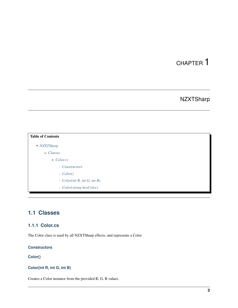# **NZXTSharp**

<span id="page-6-0"></span>

| <b>Table of Contents</b>           |  |
|------------------------------------|--|
| • NZXTSharp                        |  |
| - Classes                          |  |
| * Color.cs                         |  |
| • Constructors                     |  |
| $\cdot$ Color()                    |  |
| $\cdot$ Color(int R, int G, int B) |  |
| Color(string hexColor)             |  |

## <span id="page-6-1"></span>**1.1 Classes**

## <span id="page-6-2"></span>**1.1.1 Color.cs**

The Color class is used by all NZXTSharp effects, and represents a Color

#### <span id="page-6-3"></span>**Constructors**

### <span id="page-6-4"></span>**Color()**

### <span id="page-6-5"></span>**Color(int R, int G, int B)**

Creates a Color instance from the provided R, G, B values.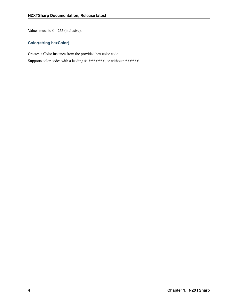Values must be 0 - 255 (inclusive).

#### <span id="page-7-0"></span>**Color(string hexColor)**

Creates a Color instance from the provided hex color code.

Supports color codes with a leading #: #ffffff, or without: ffffff.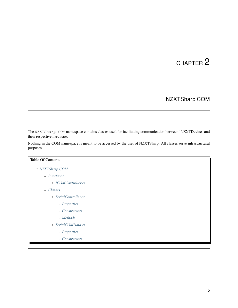# NZXTSharp.COM

<span id="page-8-0"></span>The NZXTSharp.COM namespace contains classes used for facilitating communication between INZXTDevices and their respective hardware.

Nothing in the COM namespace is meant to be accessed by the user of NZXTSharp. All classes serve infrastructural purposes.

| <b>Table Of Contents</b> |
|--------------------------|
| • NZXTSharp.COM          |
| $-$ Interfaces           |
| * ICOMController.cs      |
| - Classes                |
| * SerialController.cs    |
| · Properties             |
| • Constructors           |
| · Methods                |
| * SerialCOMData.cs       |
| · Properties             |
| • Constructors           |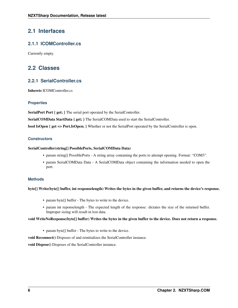## <span id="page-9-0"></span>**2.1 Interfaces**

#### <span id="page-9-2"></span>**2.1.1 ICOMController.cs**

Currently empty.

## <span id="page-9-1"></span>**2.2 Classes**

### <span id="page-9-3"></span>**2.2.1 SerialController.cs**

Inherets ICOMController.cs

#### <span id="page-9-4"></span>**Properties**

SerialPort Port { get; } The serial port operated by the SerialController.

SerialCOMData StartData { get; } The SerialCOMData used to start the SerialController.

bool IsOpen { get => Port.IsOpen; } Whether or not the SerialPort operated by the SerialController is open.

#### <span id="page-9-5"></span>**Constructors**

#### SerialController(string[] PossiblePorts, SerialCOMData Data)

- param string[] PossiblePorts A string array containing the ports to attempt opening. Format: "COM3".
- param SerialCOMData Data A SerialCOMData object containing the information needed to open the port.

#### <span id="page-9-6"></span>**Methods**

byte[] Write(byte[] buffer, int responselength) Writes the bytes in the given buffer, and returns the device's response.

- param byte[] buffer The bytes to write to the device.
- param int reponselength The expected length of the response: dictates the size of the returned buffer. Improper sizing will result in lost data.

#### void WriteNoResponse(byte[] buffer) Writes the bytes in the given buffer to the device. Does not return a response.

• param byte[] buffer - The bytes to write to the device.

void Reconnect() Disposes of and reinitializes the SerialController instance.

void Dispose() Disposes of the SerialController instance.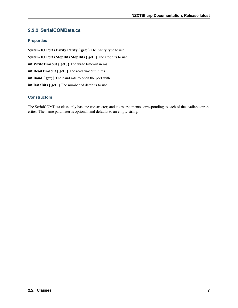## <span id="page-10-0"></span>**2.2.2 SerialCOMData.cs**

#### <span id="page-10-1"></span>**Properties**

System.IO.Ports.Parity Parity { get; } The parity type to use. System.IO.Ports.StopBits StopBits { get; } The stopbits to use. int WriteTimeout { get; } The write timeout in ms. int ReadTimeout { get; } The read timeout in ms. int Baud { get; } The baud rate to open the port with. int DataBits { get; } The number of databits to use.

#### <span id="page-10-2"></span>**Constructors**

The SerialCOMData class only has one constructor, and takes arguments corresponding to each of the available properties. The name parameter is optional, and defaults to an empty string.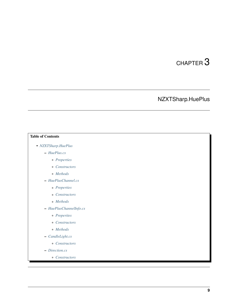# NZXTSharp.HuePlus

# <span id="page-12-0"></span>Table of Contents • *[NZXTSharp.HuePlus](#page-12-0)* – *[HuePlus.cs](#page-13-0)* \* *[Properties](#page-13-1)* \* *[Constructors](#page-13-2)* \* *[Methods](#page-13-3)* – *[HuePlusChannel.cs](#page-14-0)* \* *[Properties](#page-14-1)* \* *[Constructors](#page-14-2)* \* *[Methods](#page-14-3)* – *[HuePlusChannelInfo.cs](#page-15-0)* \* *[Properites](#page-15-3)* \* *[Constructors](#page-15-4)* \* *[Methods](#page-15-5)* – *[CandleLight.cs](#page-15-1)* \* *[Constructors](#page-15-6)* – *[Direction.cs](#page-15-2)*

\* *[Constructors](#page-15-7)*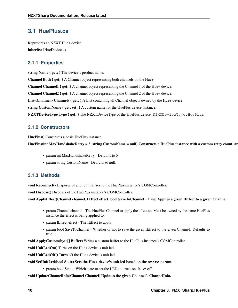## <span id="page-13-0"></span>**3.1 HuePlus.cs**

Represents an NZXT Hue+ device. inherits: IHueDevice.cs

### <span id="page-13-1"></span>**3.1.1 Properties**

string Name { get; } The device's product name.

Channel Both { get; } A Channel object representing both channels on the Hue+

Channel Channel1 { get; } A channel object representing the Channel 1 of the Hue+ device.

Channel Channel2 { get; } A channel object representing the Channel 2 of the Hue+ device.

List<Channel> Channels { get; } A List containing all Channel objects owned by the Hue+ device.

string CustomName { get; set; } A custom name for the HuePlus device instance.

NZXTDeviceType Type { get; } The NZXTDeviceType of the HuePlus device. NZXTDeviceType.HuePlus

### <span id="page-13-2"></span>**3.1.2 Constructors**

HuePlus() Constructs a basic HuePlus instance.

#### HuePlus(int MaxHandshakeRetry = 5, string CustomName = null) Constructs a HuePlus instance with a custom retry count, and

- param int MaxHandshakeRetry Defaults to 5
- param string CustomName Deafults to null.

### <span id="page-13-3"></span>**3.1.3 Methods**

void Reconnect() Disposes of and reinitializes to the HuePlus instance's COMController.

void Dispose() Disposes of the HuePlus instance's COMController.

void ApplyEffect(Channel channel, IEffect effect, bool SaveToChannel = true) Applies a given IEffect to a given Channel.

- param Channel channel The HuePlus Channel to apply the affect to. Must be owned by the same HuePlus instance the effect is being applied to.
- param IEffect effect The IEffect to apply.
- param bool SaveToChannel Whether or not to save the given IEffect to the given Channel. Defaults to true.

void ApplyCustom(byte[] Buffer) Writes a custom buffer to the HuePlus instance's COMController.

void UnitLedOn() Turns on the Hue+ device's unit led.

void UnitLedOff() Turns off the Hue+ device's unit led.

void SetUnitLed(bool State) Sets the Hue+ device's unit led based on the **State** param.

• param bool State - Which state to set the LED to. true: on, false: off.

void UpdateChannelInfo(Channel Channel) Updates the given Channel's ChannelInfo.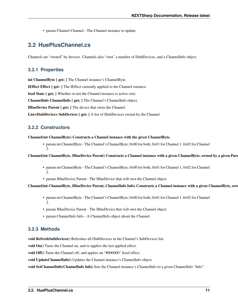• param Channel Channel - The Channel instance to update.

## <span id="page-14-0"></span>**3.2 HuePlusChannel.cs**

Channels are "owned" by devices. Channels also "own" a number of ISubDevices, and a ChannelInfo object.

#### <span id="page-14-1"></span>**3.2.1 Properties**

int ChannelByte { get; } The Channel instance's ChannelByte.

IEffect Effect { get: } The IEffect currently applied to the Channel isntance.

bool State { get; } Whether or not the Channel instance is active (on).

ChannelInfo ChannelInfo { get; } The Channel's ChannelInfo object.

IHueDevice Parent { get; } The device that owns the Channel.

List<ISubDevice> SubDevices { get; } A list of ISubDevices owned by the Channel.

#### <span id="page-14-2"></span>**3.2.2 Constructors**

Channel(int ChannelByte) Constructs a Channel instance with the given ChannelByte.

• param int ChannelByte - The Channel's ChannelByte; 0x00 for both, 0x01 for Channel 1, 0x02 for Channel 2.

#### Channel(int ChannelByte, IHueDevice Parent) Constructs a Channel instance with a given ChannelByte, owned by a given Parent.

- param int ChannelByte The Channel's ChannelByte; 0x00 for both, 0x01 for Channel 1, 0x02 for Channel 2.
- param IHueDevice Parent The IHueDevice that will own the Channel object.

#### Channel(int ChannelByte, IHueDevice Parent, ChannelInfo Info) Constructs a Channel instance with a given ChannelByte, own

- param int ChannelByte The Channel's ChannelByte; 0x00 for both, 0x01 for Channel 1, 0x02 for Channel 2.
- param IHueDevice Parent The IHueDevice that will own the Channel object.
- param ChannelInfo Info A ChannelInfo object about the Channel.

#### <span id="page-14-3"></span>**3.2.3 Methods**

void RefreshSubDevices() Refreshes all ISubDevices in the Channel's SubDevices list.

void On() Turns the Channel on, and re-applies the last applied effect.

void Off() Turns the Channel off, and applies an "#000000" fixed effect.

void UpdateChannelInfo() Updates the Channel instance's ChannelInfo object.

void SetChannelInfo(ChannelInfo Info) Sets the Channel instance's ChannelInfo to a given ChannelInfo "Info".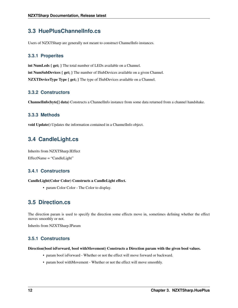## <span id="page-15-0"></span>**3.3 HuePlusChannelInfo.cs**

Users of NZXTSharp are generally not meant to construct ChannelInfo instances.

#### <span id="page-15-3"></span>**3.3.1 Properites**

int NumLeds { get; } The total number of LEDs available on a Channel. int NumSubDevices { get; } The number of ISubDevices available on a given Channel. NZXTDeviceType Type { get; } The type of ISubDevices available on a Channel.

#### <span id="page-15-4"></span>**3.3.2 Constructors**

ChannelInfo(byte[] data) Constructs a ChannelInfo instance from some data returned from a channel handshake.

#### <span id="page-15-5"></span>**3.3.3 Methods**

void Update() Updates the information contained in a ChannelInfo object.

## <span id="page-15-1"></span>**3.4 CandleLight.cs**

Inherits from NZXTSharp.IEffect EffectName = "CandleLight"

#### <span id="page-15-6"></span>**3.4.1 Constructors**

#### CandleLight(Color Color) Constructs a CandleLight effect.

• param Color Color - The Color to display.

## <span id="page-15-2"></span>**3.5 Direction.cs**

The direction param is used to specify the direction some effects move in, sometimes defining whether the effect moves smoothly or not.

Inherits from NZXTSharp.IParam

#### <span id="page-15-7"></span>**3.5.1 Constructors**

#### Direction(bool isForward, bool withMovement) Constructs a Direction param with the given bool values.

- param bool is Forward Whether or not the effect will move forward or backward.
- param bool withMovement Whether or not the effect will move smoothly.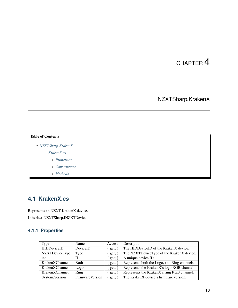# NZXTSharp.KrakenX

#### <span id="page-16-0"></span>Table of Contents

- *[NZXTSharp.KrakenX](#page-16-0)*
	- *[KrakenX.cs](#page-16-1)*
		- \* *[Properties](#page-16-2)*
		- \* *[Constructors](#page-17-0)*
		- \* *[Methods](#page-17-1)*

# <span id="page-16-1"></span>**4.1 KrakenX.cs**

Represents an NZXT KrakenX device. Inherits: NZXTSharp.INZXTDevice

### <span id="page-16-2"></span>**4.1.1 Properties**

| Type               | Name            | Access       | Description                                  |
|--------------------|-----------------|--------------|----------------------------------------------|
| <b>HIDDeviceID</b> | DeviceID        | $get; \}$    | The HIDDeviceID of the KrakenX device.       |
| NZXTDeviceType     | Type            | $\{ get; \}$ | The NZXTDeviceType of the KrakenX device.    |
| int                | ID              | $\{ get; \}$ | A unique device ID.                          |
| KrakenXChannel     | <b>Both</b>     | get; $\}$    | Represents both the Logo, and Ring channels. |
| KrakenXChannel     | Logo            | $\{ get; \}$ | Represents the KrakenX's logo RGB channel.   |
| KrakenXChannel     | Ring            | $\{ get; \}$ | Represents the KrakenX's ring RGB channel.   |
| System. Version    | FirmwareVersion | $get; \}$    | The KrakenX device's firmware version.       |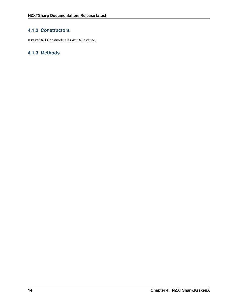### <span id="page-17-0"></span>**4.1.2 Constructors**

KrakenX() Constructs a KrakenX instance.

## <span id="page-17-1"></span>**4.1.3 Methods**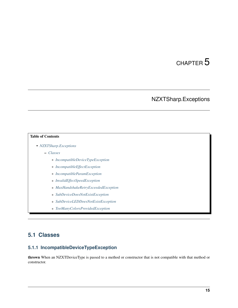# NZXTSharp.Exceptions

#### <span id="page-18-0"></span>Table of Contents

- *[NZXTSharp.Exceptions](#page-18-0)*
	- *[Classes](#page-18-1)*
		- \* *[IncompatibleDeviceTypeException](#page-18-2)*
		- \* *[IncompatibleEffectException](#page-19-0)*
		- \* *[IncompatibleParamException](#page-19-1)*
		- \* *[InvalidEffectSpeedException](#page-19-2)*
		- \* *[MaxHandshakeRetryExceededException](#page-19-3)*
		- \* *[SubDeviceDoesNotExistException](#page-19-4)*
		- \* *[SubDeviceLEDDoesNotExistException](#page-19-5)*
		- \* *[TooManyColorsProvidedException](#page-19-6)*

## <span id="page-18-1"></span>**5.1 Classes**

## <span id="page-18-2"></span>**5.1.1 IncompatibleDeviceTypeException**

thrown When an NZXTDeviceType is passed to a method or constructor that is not compatible with that method or constructor.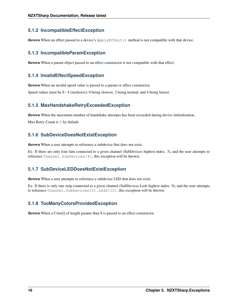### <span id="page-19-0"></span>**5.1.2 IncompatibleEffectException**

thrown When an effect passed to a device's ApplyEffect() method is not compatible with that device.

### <span id="page-19-1"></span>**5.1.3 IncompatibleParamException**

thrown When a param object passed to an effect constructor is not compatible with that effect.

#### <span id="page-19-2"></span>**5.1.4 InvalidEffectSpeedException**

thrown When an invalid speed value is passed to a param or effect constructor.

Speed values must be 0 - 4 (inclusive); 0 being slowest, 2 being normal, and 4 being fastest.

### <span id="page-19-3"></span>**5.1.5 MaxHandshakeRetryExceededException**

thrown When the maximum number of handshake attempts has been exceeded during device intitialization.

Max Retry Count is 5 by default.

### <span id="page-19-4"></span>**5.1.6 SubDeviceDoesNotExistException**

thrown When a user attempts to reference a subdevice that does not exist.

Ex: If there are only four fans connected to a given channel (SubDevices highest index: 3), and the user attempts to reference Channel.SubDevices[4], this exception will be thrown.

### <span id="page-19-5"></span>**5.1.7 SubDeviceLEDDoesNotExistException**

thrown When a user attempts to reference a subdevice LED that does not exist.

Ex: If there is only one strip connected to a given channel (SubDevices.Leds highest index: 9), and the user attempts to reference Channel.SubDevices[0].Leds[10], this exception will be thrown.

## <span id="page-19-6"></span>**5.1.8 TooManyColorsProvidedException**

thrown When a Color[] of length greater than 8 is passed to an effect constructor.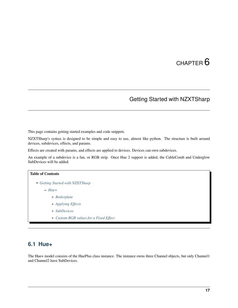## Getting Started with NZXTSharp

<span id="page-20-0"></span>This page contains getting started examples and code snippets.

NZXTSharp's syntax is designed to be simple and easy to use, almost like python. The structure is built around devices, subdevices, effects, and params.

Effects are created with params, and effects are applied to devices. Devices can own subdevices.

An example of a subdevice is a fan, or RGB strip. Once Hue 2 support is added, the CableComb and Underglow SubDevices will be added.

# Table of Contents • *[Getting Started with NZXTSharp](#page-20-0)* – *[Hue+](#page-20-1)* \* *[Boilerplate](#page-21-0)* \* *[Applying Effects](#page-21-1)* \* *[SubDevices](#page-21-2)*

\* *[Custom RGB values for a Fixed Effect](#page-22-0)*

## <span id="page-20-1"></span>**6.1 Hue+**

The Hue+ model consists of the HuePlus class instance. The instance owns three Channel objects, but only Channel1 and Channel2 have SubDevices.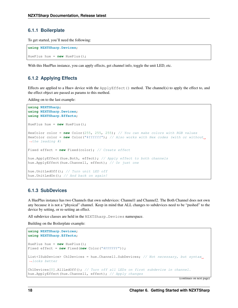#### <span id="page-21-0"></span>**6.1.1 Boilerplate**

To get started, you'll need the following:

```
using NZXTSharp.Devices;
HuePlus hue = new HuePlus();
```
With this HuePlus instance, you can apply effects, get channel info, toggle the unit LED, etc.

# <span id="page-21-1"></span>**6.1.2 Applying Effects**

Effects are applied to a Hue+ device with the  $ApplyEffect()$  method. The channel(s) to apply the effect to, and the effect object are passed as params to this method.

Adding on to the last example:

```
using NZXTSharp;
using NZXTSharp.Devices;
using NZXTSharp.Effects;
HuePlus hue = new HuePlus();
HexColor color = new Color(255, 255, 255); // You can make colors with RGB values
HexColor color = new Color("#ffffff"); // Also works with Hex codes (with or without.
˓→the leading #)
Fixed effect = new Fixed(color); // Create effect
hue.ApplyEffect(hue.Both, effect); // Apply effect to both channels
hue.ApplyEffect(hue.Channel1, effect); // Or just one
hue.UnitLedOff(); // Turn unit LED off
hue.UnitLedOn(); // And back on again!
```
#### <span id="page-21-2"></span>**6.1.3 SubDevices**

A HuePlus instance has two Channels that own subdevices: Channel1 and Channel2. The Both Channel does not own any because it is not a "physical" channel. Keep in mind that ALL changes to subdevices need to be "pushed" to the device by setting, or re-setting an effect.

All subdevice classes are held in the NZXTSharp. Devices namespace.

Building on the Boilerplate example:

```
using NZXTSharp.Devices;
using NZXTSharp.Effects;
HuePlus hue = new HuePlus();
Fixed effect = new Fixed(new Color("#FFFFFF"));
List<ISubDevice> Ch1Devices = hue.Channel1.SubDevices; // Not necessary, but syntax
˓→looks better
Ch1Devices[0].AllLedOff(); // Turn off all LEDs on first subdevice in channel.
hue.ApplyEffect(hue.Channel1, effect); // Apply changes
```
(continues on next page)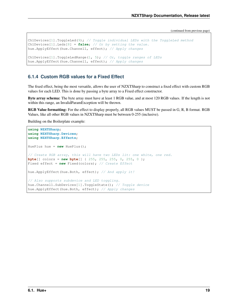(continued from previous page)

```
Ch1Devices[1].ToggleLed(9); // Toggle individual LEDs with the ToggleLed method
Ch1Devices[1].Leds[8] = false; // Or by setting the value.
hue.ApplyEffect(hue.Channel1, effect); // Apply changes
Ch1Devices[1].ToggleLedRange(1, 5); // Or, toggle ranges of LEDs
hue.ApplyEffect(hue.Channel1, effect); // Apply changes
```
#### <span id="page-22-0"></span>**6.1.4 Custom RGB values for a Fixed Effect**

The fixed effect, being the most versatile, allows the user of NZXTSharp to construct a fixed effect with custom RGB values for each LED. This is done by passing a byte array to a Fixed effect constructor.

Byte array schema: The byte array must have at least 1 RGB value, and at most 120 RGB values. If the length is not within this range, an InvalidParamException will be thrown.

RGB Value formatting: For the effect to display properly, all RGB values MUST be passed in G, R, B format. RGB Values, like all other RGB values in NZXTSharp must be between 0-255 (inclusive).

Building on the Boilerplate example:

```
using NZXTSharp;
using NZXTSharp.Devices;
using NZXTSharp.Effects;
HuePlus hue = new HuePlus();
// Create RGB array, this will have two LEDs lit: one white, one red.
byte[] colors = new byte[] { 255, 255, 255, 0, 255, 0 };
Fixed effect = new Fixed(colors); // Create Effect
hue.ApplyEffect(hue.Both, effect); // And apply it!
// Also supports subdevice and LED toggling.
hue.Channel1.SubDevices[1].ToggleState(); // Toggle device
hue.ApplyEffect(hue.Both, effect); // Apply changes
```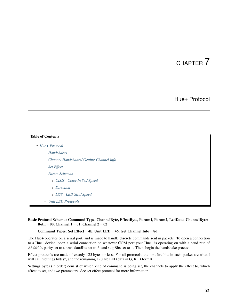## Hue+ Protocol

<span id="page-24-0"></span>

| <b>Table of Contents</b>                   |  |  |  |  |  |
|--------------------------------------------|--|--|--|--|--|
| $\bullet$ Hue + Protocol                   |  |  |  |  |  |
| - Handshakes                               |  |  |  |  |  |
| - Channel Handshakes/ Getting Channel Info |  |  |  |  |  |
| $-$ Set Effect                             |  |  |  |  |  |
| - Param Schemas                            |  |  |  |  |  |
| * CIS/S - Color In Set/ Speed              |  |  |  |  |  |
| * Direction                                |  |  |  |  |  |
| * LS/S - LED Size/ Speed                   |  |  |  |  |  |
| - Unit LED Protocols                       |  |  |  |  |  |

#### Basic Protocol Schema: Command Type, ChannelByte, EffectByte, Param1, Param2, LedData ChannelByte: Both =  $00$ , Channel 1 =  $01$ , Channel 2 =  $02$

#### Command Types: Set Effect = 4b, Unit LED = 46, Get Channel Info = 8d

The Hue+ operates on a serial port, and is made to handle discrete commands sent in packets. To open a connection to a Hue+ device, open a serial connection on whatever COM port your Hue+ is operating on with a baud rate of 256000, parity set to None, dataBits set to 8, and stopBits set to 1. Then, begin the handshake process.

Effect protocols are made of exactly 125 bytes or less. For all protocols, the first five bits in each packet are what I will call "settings bytes", and the remaining 120 are LED data in G, R, B format.

Settings bytes (in order) consist of which kind of command is being set, the channels to apply the effect to, which effect to set, and two parameters. See set effect protocol for more information.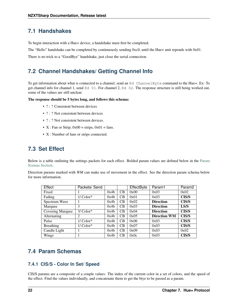## <span id="page-25-0"></span>**7.1 Handshakes**

To begin interaction with a Hue+ device, a handshake must first be completed.

The "Hello" handshake can be completed by continuously sending 0xc0, until the Hue+ unit reponds with 0x01.

There is no trick to a "GoodBye" handshake, just close the serial connection.

## <span id="page-25-1"></span>**7.2 Channel Handshakes/ Getting Channel Info**

To get information about what is connected to a channel, send an 8d ChannelByte command to the Hue+. Ex: To get channel info for channel 1, send 8d 01. For channel 2, 8d 02. The response structure is still being worked out, some of the values are still unclear.

The response should be 5 bytes long, and follows this schema:

- ? : ? Consistent between devices
- ? : ? Not consistent between devices
- ? : ? Not consistent between devices.
- X : Fan or Strip;  $0x00 =$  strips,  $0x01 =$  fans.
- X : Number of fans or strips connected.

## <span id="page-25-2"></span>**7.3 Set Effect**

Below is a table outlining the settings packets for each effect. Bolded param values are defined below in the [Param](https://nzxtsharp.readthedocs.io/en/latest/Protocols/Hue+.html#param-schemas) [Scemas Section.](https://nzxtsharp.readthedocs.io/en/latest/Protocols/Hue+.html#param-schemas)

Direction params marked with *WM* can make use of movement in the effect. See the direction param schema below for more information.

| Effect                  | Packets/Send |      |    | EffectByte | Param1              | Param <sub>2</sub> |
|-------------------------|--------------|------|----|------------|---------------------|--------------------|
| Fixed                   |              | 0x4b | CB | 0x00       | 0x03                | 0x02               |
| Fading                  | $1/Color^*$  | 0x4b | CB | 0x01       | 0x03                | <b>CIS/S</b>       |
| Spectrum Wave           |              | 0x4b | CB | 0x02       | <b>Direction</b>    | <b>CIS/S</b>       |
| Marquee                 | 3            | 0x4b | CB | 0x03       | <b>Direction</b>    | LS/S               |
| <b>Covering Marquee</b> | $3/Color*$   | 0x4b | CB | 0x04       | <b>Direction</b>    | <b>CIS/S</b>       |
| Alternating             | 2            | 0x4b | CB | 0x05       | <b>Direction WM</b> | <b>CIS/S</b>       |
| Pulse                   | $1/Color*$   | 0x4b | CB | 0x06       | 0x03                | <b>CIS/S</b>       |
| <b>Breathing</b>        | $1/Color^*$  | 0x4b | CB | 0x07       | 0x03                | <b>CIS/S</b>       |
| Candle Light            |              | 0x4b | CB | 0x09       | 0x03                | 0x02               |
| Wings                   |              | 0x4b | CB | 0x0c       | 0x03                | <b>CIS/S</b>       |

## <span id="page-25-3"></span>**7.4 Param Schemas**

### <span id="page-25-4"></span>**7.4.1 CIS/S - Color In Set/ Speed**

CIS/S params are a composite of a couple values: The index of the current color in a set of colors, and the speed of the effect. Find the values individually, and concatenate them to get the btye to be passed as a param.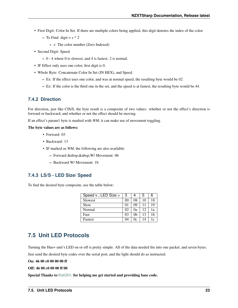- First Digit: Color In Set. If there are multiple colors being applied, this digit denotes the index of the color.
	- To Find: digit =  $x * 2$ 
		- \* *x*: The color number (Zero Indexed)
- Second Digit: Speed
	- 0 4 where 0 is slowest, and 4 is fastest. 2 is normal.
- IF Effect only uses one color, first digit is 0.
- Whole Byte: Concatenate Color In Set (IN HEX), and Speed.
	- Ex: If the effect uses one color, and was at normal speed, the resulting byte would be *02*.
	- Ex: If the color is the third one in the set, and the speed is at fastest, the resulting byte would be *44*.

#### <span id="page-26-1"></span>**7.4.2 Direction**

For direction, just like CIS/S, the byte result is a composite of two values: whether or not the effect's direction is forward or backward, and whether or not the effect should be moving.

If an effect's param1 byte is marked with *WM*, it can make use of movement toggling.

#### The byte values are as follows:

- Forward: 03
- Backward: 13
- IF marked as *WM*, the following are also available:
	- Forward W/Movement: 0b
	- Backward W/ Movement: 1b

#### <span id="page-26-2"></span>**7.4.3 LS/S - LED Size/ Speed**

To find the desired byte composite, use the table below:

| Speed v; LED Size > | 3              |    | 5  | 6  |
|---------------------|----------------|----|----|----|
| Slowest             | 0 <sup>0</sup> | 08 | 10 | 18 |
| Slow                | 01             | 09 | 11 | 19 |
| Normal              | 02             | 0a | 12 | 1a |
| Fast                | 03             | 0b | 13 | 1h |
| <b>Fastest</b>      | 04             | 0c | 14 | 1c |

## <span id="page-26-0"></span>**7.5 Unit LED Protocols**

Turning the Hue+ unit's LED on or off is pretty simple. All of the data needed fits into one packet, and seven bytes.

Just send the desired byte codes over the serial port, and the light should do as instructed.

On: 46 00 c0 00 00 00 ff

#### Off: 46 00 c0 00 00 ff 00

Special Thanks to [Pet0203.](https://github.com/Pet0203) for helping me get started and providing base code.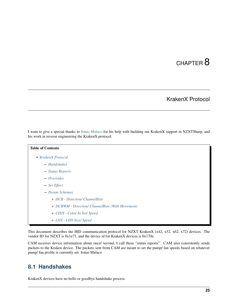## KrakenX Protocol

<span id="page-28-0"></span>I want to give a special thanks to [Jonas Malaco](https://github.com/jonasmalacofilho) for his help with building out KrakenX support in NZXTSharp, and his work in reverse engineering the KrakenX protocol.

## Table of Contents

- *[KrakenX Protocol](#page-28-0)*
	- *[Handshakes](#page-28-1)*
	- *[Status Reports](#page-29-0)*
	- *[Overrides](#page-29-1)*
	- *[Set Effect](#page-29-2)*
	- *[Param Schemas](#page-30-0)*
		- \* *[DCB Direction/ ChannelByte](#page-30-1)*
		- \* *[DCBWM Direction/ ChannelByte \(With Movement\)](#page-30-2)*
		- \* *[CIS/S Color In Set/ Speed](#page-30-3)*
		- \* *[LS/S LED Size/ Speed](#page-31-0)*

This document describes the HID communication protocol for NZXT KrakenX (x42, x52, x62, x72) devices. The vendor ID for NZXT is 0x1e71, and the device id for KrakenX devices is 0x170e.

CAM receives device information about once/ second, I call these "status reports". CAM also consistently sends packets to the Kraken device. The packets sent from CAM are meant to set the pump/ fan speeds based on whatever pump/ fan profile is currently set. Jonas Malaco

## <span id="page-28-1"></span>**8.1 Handshakes**

KrakenX devices have no hello or goodbye handshake process.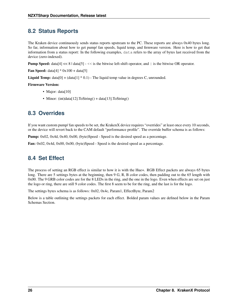## <span id="page-29-0"></span>**8.2 Status Reports**

The Kraken device continuously sends status reports upstream to the PC. These reports are always 0x40 bytes long. So far, information about how to get pump/ fan speeds, liquid temp, and firmware version. Here is how to get that information from a status report: In the following examples, data refers to the array of bytes last received from the device (zero-indexed).

**Pump Speed:** data[4]  $<< 8$  | data[5]  $- << 1$  is the bitwise left-shift operator, and  $|$  is the bitwise OR operator.

**Fan Speed:** data[4]  $*$  0x100 + data[5]

**Liquid Temp:** data $[0] + (data[1] * 0.1)$  - The liquid temp value in degrees C, unrounded.

#### Firmware Version:

- Major: data[10]
- Minor: (int)data[12].ToString() + data[13].ToString()

## <span id="page-29-1"></span>**8.3 Overrides**

If you want custom pump/ fan speeds to be set, the KrakenX device requires "overrides" at least once every 10 seconds, or the device will revert back to the CAM default "performance profile". The override buffer schema is as follows:

Pump: 0x02, 0x4d, 0x40, 0x00, (byte)Speed - Speed is the desired speed as a percentage.

Fan: 0x02, 0x4d, 0x00, 0x00, (byte)Speed - Speed is the desired speed as a percentage.

## <span id="page-29-2"></span>**8.4 Set Effect**

The process of setting an RGB effect is similar to how it is with the Hue+. RGB Effect packets are always 65 bytes long. There are 5 settings bytes at the beginning, then 9 G, R, B color codes, then padding out to the 65 length with 0x00. The 9 GRB color codes are for the 8 LEDs in the ring, and the one in the logo. Even when effects are set on just the logo or ring, there are still 9 color codes. The first 8 seem to be for the ring, and the last is for the logo.

The settings bytes schema is as follows: 0x02, 0x4c, Param1, EffectByte, Param2

Below is a table outlining the settings packets for each effect. Bolded param values are defined below in the Param Schemas Section.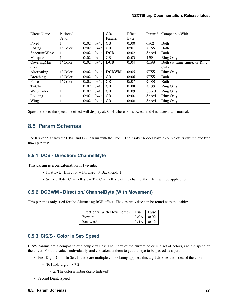| <b>Effect Name</b>  | Packets/ |      |      | CB/          | Effect- | Param <sub>2</sub> | Compatible With              |
|---------------------|----------|------|------|--------------|---------|--------------------|------------------------------|
|                     | Send     |      |      | Param1       | Byte    |                    |                              |
| Fixed               |          | 0x02 | 0x4c | CB           | 0x00    | 0x02               | <b>B</b> oth                 |
| Fading              | 1/Color  | 0x02 | 0x4c | CB           | 0x01    | <b>CISS</b>        | <b>B</b> oth                 |
| <b>SpectrumWave</b> |          | 0x02 | 0x4c | <b>DCB</b>   | 0x02    | Speed              | <b>B</b> oth                 |
| Marquee             |          | 0x02 | 0x4c | CB           | 0x03    | <b>LSS</b>         | <b>Ring Only</b>             |
| CoveringMar-        | 1/Color  | 0x02 | 0x4c | <b>DCB</b>   | 0x04    | <b>CISS</b>        | Both (at same time), or Ring |
| quee                |          |      |      |              |         |                    | Only                         |
| Alternating         | 1/Color  | 0x02 | 0x4c | <b>DCBWM</b> | 0x05    | <b>CISS</b>        | <b>Ring Only</b>             |
| <b>Breathing</b>    | 1/Color  | 0x02 | 0x4c | CB           | 0x06    | <b>CISS</b>        | <b>B</b> oth                 |
| Pulse               | 1/Color  | 0x02 | 0x4c | CB           | 0x07    | <b>CISS</b>        | <b>B</b> oth                 |
| TaiChi              | 2        | 0x02 | 0x4c | CB           | 0x08    | <b>CISS</b>        | <b>Ring Only</b>             |
| WaterColor          |          | 0x02 | 0x4c | CB           | 0x09    | Speed              | <b>Ring Only</b>             |
| Loading             |          | 0x02 | 0x4c | CB           | 0x0a    | Speed              | <b>Ring Only</b>             |
| Wings               |          | 0x02 | 0x4c | CB           | 0x0c    | Speed              | <b>Ring Only</b>             |

Speed refers to the speed the effect will display at: 0 - 4 where 0 is slowest, and 4 is fastest. 2 is normal.

## <span id="page-30-0"></span>**8.5 Param Schemas**

The KrakenX shares the CISS and LSS param with the Hue+. The KrakenX does have a couple of its own unique (for now) params:

### <span id="page-30-1"></span>**8.5.1 DCB - Direction/ ChannelByte**

#### This param is a concatenation of two ints:

- First Byte: Direction Forward: 0, Backward: 1
- Second Byte: ChannelByte The ChannelByte of the channel the effect will be applied to.

### <span id="page-30-2"></span>**8.5.2 DCBWM - Direction/ ChannelByte (With Movement)**

This param is only used for the Alternating RGB effect. The desired value can be found with this table:

| Direction v; With Movement $>$ True |               | False |
|-------------------------------------|---------------|-------|
| Forward                             | $0x0A$ $0x02$ |       |
| <b>Backward</b>                     | $0x1A$ $0x12$ |       |

### <span id="page-30-3"></span>**8.5.3 CIS/S - Color In Set/ Speed**

CIS/S params are a composite of a couple values: The index of the current color in a set of colors, and the speed of the effect. Find the values individually, and concatenate them to get the btye to be passed as a param.

- First Digit: Color In Set. If there are multiple colors being applied, this digit denotes the index of the color.
	- To Find: digit =  $x * 2$ 
		- \* *x*: The color number (Zero Indexed)
- Second Digit: Speed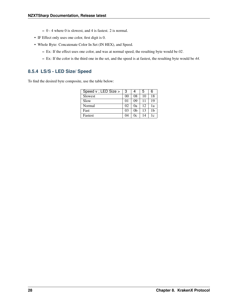- 0 4 where 0 is slowest, and 4 is fastest. 2 is normal.
- IF Effect only uses one color, first digit is 0.
- Whole Byte: Concatenate Color In Set (IN HEX), and Speed.
	- Ex: If the effect uses one color, and was at normal speed, the resulting byte would be *02*.
	- Ex: If the color is the third one in the set, and the speed is at fastest, the resulting byte would be *44*.

### <span id="page-31-0"></span>**8.5.4 LS/S - LED Size/ Speed**

To find the desired byte composite, use the table below:

| Speed v; LED Size > | 3              | 4  | 5  | 6  |
|---------------------|----------------|----|----|----|
| Slowest             | 0 <sup>0</sup> | 08 | 10 | 18 |
| Slow                | 01             | 09 | 11 | 19 |
| Normal              | 02             | 0a | 12 | 1a |
| Fast                | 03             | 0b | 13 | 1h |
| Fastest             | 04             | 0c | 14 | 1c |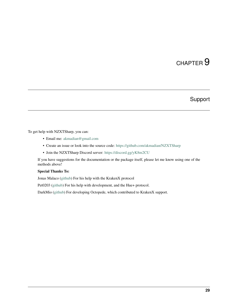# Support

<span id="page-32-0"></span>To get help with NZXTSharp, you can:

- Email me: [akmadian@gmail.com](mailto:akmadian@gmail.com)
- Create an issue or look into the source code: <https://github.com/akmadian/NZXTSharp>
- Join the NZXTSharp Discord server: <https://discord.gg/yK8m2CU>

If you have suggestions for the documentation or the package itself, please let me know using one of the methods above!

#### Special Thanks To:

Jonas Malaco [\(github\)](https://github.com/jonasmalacofilho) For his help with the KrakenX protocol

Pet0203 [\(github\)](https://github.com/Pet0203) For his help with development, and the Hue+ protocol.

DarkMio [\(github\)](https://github.com/DarkMio) For developing Octopede, which contributed to KrakenX support.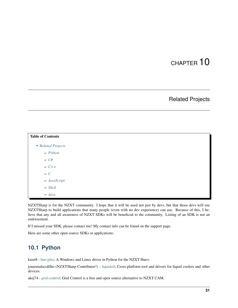## Related Projects

<span id="page-34-0"></span>

| <b>Table of Contents</b> |  |  |  |
|--------------------------|--|--|--|
| • Related Projects       |  |  |  |
| $-$ <i>Python</i>        |  |  |  |
| $- C#$                   |  |  |  |
| $- C++$                  |  |  |  |
| $- C$                    |  |  |  |
| - JavaScript             |  |  |  |
| $-$ Shell                |  |  |  |
| $-$ Java                 |  |  |  |

NZXTSharp is for the NZXT community. I hope that it will be used not just by devs, but that those devs will use NZXTSharp to build applications that many people (even with no dev experience) can use. Because of this, I believe that any and all awareness of NZXT SDKs will be beneficial to the community. Listing of an SDK is not an endorsement.

If I missed your SDK, please contact me! My contact info can be found on the support page.

Here are some other open source SDKs or applications:

## <span id="page-34-1"></span>**10.1 Python**

kusti8 - [hue-plus;](https://github.com/kusti8/hue-plus) A Windows and Linux driver in Python for the NZXT Hue+.

jonasmalacofilho (NZXTSharp Contributor!) - [liquidctl;](https://github.com/jonasmalacofilho/liquidctl) Cross-platform tool and drivers for liquid coolers and other devices.

akej74 - [grid-control;](https://github.com/akej74/grid-control) Grid Control is a free and open source alternative to NZXT CAM.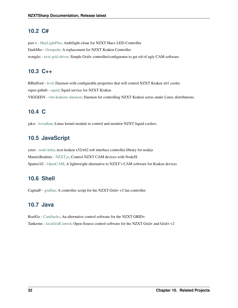## <span id="page-35-0"></span>**10.2 C#**

piet-v - [HueLightPlus;](https://github.com/piet-v/HueLightPlus) Ambilight-clone for NZXT Hue+ LED-Controller DarkMio - [Octopede;](https://github.com/DarkMio/Octopode) A replacement for NZXT Kraken Controller wongfei - [nzxt-grid-driver;](https://github.com/wongfei/nzxt-grid-driver) Simple Grid+ controller/configurator to get rid of ugly CAM software.

## <span id="page-35-1"></span>**10.3 C++**

RBlafford - [levd;](https://github.com/RBlafford/levd) Daemon with configurable properties that will control NZXT Kraken x61 cooler. rupor-github - [squid;](https://github.com/rupor-github/squid) Squid service for NZXT Kraken VIGGEEN - [vlm-krakenx-daemon;](https://github.com/VIGGEEN/vlm-krakenx-daemon) Daemon for controlling NZXT Kraken series under Linux distributions.

## <span id="page-35-2"></span>**10.4 C**

jaksi - [leviathan;](https://github.com/jaksi/leviathan) Linux kernel module to control and monitor NZXT liquid coolers.

# <span id="page-35-3"></span>**10.5 JavaScript**

yetzt - [node-krkn;](https://github.com/yetzt/node-krkn) nzxt kraken x52/x62 usb interface controller library for nodejs MarnixBouhuis - [NZXT.js;](https://github.com/MarnixBouhuis/NZXT.js) Control NZXT CAM devices with NodeJS Sparta142 - [OpenCAM;](https://github.com/Sparta142/OpenCAM) A lightweight alternative to NZXT's CAM software for Kraken devices

## <span id="page-35-4"></span>**10.6 Shell**

CapitalF - [gridfan;](https://github.com/CapitalF/gridfan) A controller script for the NZXT Grid+ v2 fan controller.

## <span id="page-35-5"></span>**10.7 Java**

RoelGo - [CamSucks;](https://github.com/RoelGo/CamSucks) An alternative control software for the NZXT GRID+ Tankernn - [JavaGridControl;](https://github.com/Tankernn/JavaGridControl) Open-Source control software for the NZXT Grid+ and Grid+ v2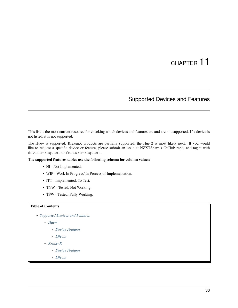## Supported Devices and Features

<span id="page-36-0"></span>This list is the most current resource for checking which devices and features are and are not supported. If a device is not listed, it is not supported.

The Hue+ is supported, KrakenX products are partially supported, the Hue 2 is most likely next. If you would like to request a specific device or feature, please submit an issue at NZXTSharp's GitHub repo, and tag it with device-request or feature-request.

The supported features tables use the following schema for column values:

- NI Not Implemented.
- WIP Work In Progress/ In Process of Implementation.
- ITT Implemented, To Test.
- TNW Tested, Not Working.
- TFW Tested, Fully Working.

#### Table of Contents

• *[Supported Devices and Features](#page-36-0)*

– *[Hue+](#page-37-0)*

\* *[Device Features](#page-37-2)*

\* *[Effects](#page-37-3)*

- *[KrakenX](#page-37-1)*
	- \* *[Device Features](#page-37-4)*
	- \* *[Effects](#page-38-0)*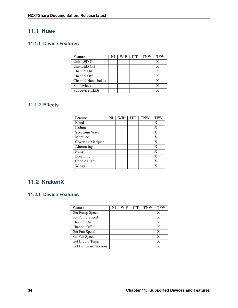## <span id="page-37-0"></span>**11.1 Hue+**

## <span id="page-37-2"></span>**11.1.1 Device Features**

| Feature                   | NI | WIP | <b>ITT</b> | <b>TNW</b> | <b>TFW</b> |
|---------------------------|----|-----|------------|------------|------------|
| Unit LED On               |    |     |            |            | X          |
| Unit LED Off              |    |     |            |            | X          |
| Channel On                |    |     |            |            | x          |
| Channel Off               |    |     |            |            | X          |
| <b>Channel Handshakes</b> |    |     |            |            |            |
| Subdevices                |    |     |            |            | x          |
| Subdevice LEDs            |    |     |            |            |            |

## <span id="page-37-3"></span>**11.1.2 Effects**

| Feature          | NI | WIP | <b>ITT</b> | <b>TNW</b> | <b>TFW</b> |
|------------------|----|-----|------------|------------|------------|
| Fixed            |    |     |            |            | X          |
| Fading           |    |     |            |            | X          |
| Spectrum Wave    |    |     |            |            | X          |
| Marquee          |    |     |            |            | X          |
| Covering Marquee |    |     |            |            | X          |
| Alternating      |    |     |            |            | X          |
| Pulse            |    |     |            |            | X          |
| <b>Breathing</b> |    |     |            |            | X          |
| Candle Light     |    |     |            |            | X          |
| Wings            |    |     |            |            | X          |

## <span id="page-37-1"></span>**11.2 KrakenX**

## <span id="page-37-4"></span>**11.2.1 Device Features**

| Feature                     | NI | WIP | <b>ITT</b> | <b>TNW</b> | <b>TFW</b> |
|-----------------------------|----|-----|------------|------------|------------|
| Get Pump Speed              |    |     |            |            | X          |
| Set Pump Speed              |    |     |            |            | x          |
| Channel On                  |    |     |            |            | X          |
| Channel Off                 |    |     |            |            | X          |
| Get Fan Speed               |    |     |            |            | X          |
| Set Fan Speed               |    |     |            |            | X          |
| Get Liquid Temp             |    |     |            |            | X          |
| <b>Get Firmware Version</b> |    |     |            |            |            |